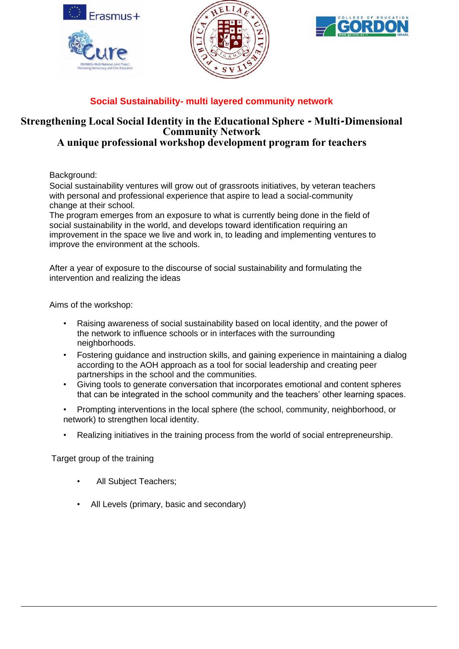

## **Social Sustainability- multi layered community network**

## **Strengthening Local Social Identity in the Educational Sphere - Multi-Dimensional Community Network**

## **A unique professional workshop development program for teachers**

Background:

Social sustainability ventures will grow out of grassroots initiatives, by veteran teachers with personal and professional experience that aspire to lead a social-community change at their school.

The program emerges from an exposure to what is currently being done in the field of social sustainability in the world, and develops toward identification requiring an improvement in the space we live and work in, to leading and implementing ventures to improve the environment at the schools.

After a year of exposure to the discourse of social sustainability and formulating the intervention and realizing the ideas

Aims of the workshop:

- Raising awareness of social sustainability based on local identity, and the power of the network to influence schools or in interfaces with the surrounding neighborhoods.
- Fostering guidance and instruction skills, and gaining experience in maintaining a dialog according to the AOH approach as a tool for social leadership and creating peer partnerships in the school and the communities.
- Giving tools to generate conversation that incorporates emotional and content spheres that can be integrated in the school community and the teachers' other learning spaces.
- Prompting interventions in the local sphere (the school, community, neighborhood, or network) to strengthen local identity.
- Realizing initiatives in the training process from the world of social entrepreneurship.

Target group of the training

- All Subject Teachers;
- All Levels (primary, basic and secondary)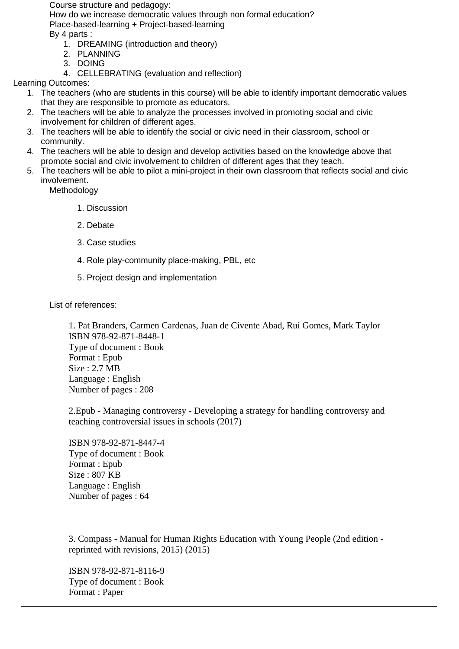Course structure and pedagogy:

How do we increase democratic values through non formal education? Place-based-learning + Project-based-learning By 4 parts :

- 1. DREAMING (introduction and theory)
- 2. PLANNING
- 3. DOING
- 4. CELLEBRATING (evaluation and reflection)

Learning Outcomes:

- 1. The teachers (who are students in this course) will be able to identify important democratic values that they are responsible to promote as educators.
- 2. The teachers will be able to analyze the processes involved in promoting social and civic involvement for children of different ages.
- 3. The teachers will be able to identify the social or civic need in their classroom, school or community.
- 4. The teachers will be able to design and develop activities based on the knowledge above that promote social and civic involvement to children of different ages that they teach.
- 5. The teachers will be able to pilot a mini-project in their own classroom that reflects social and civic involvement.

Methodology

- 1. Discussion
- 2. Debate
- 3. Case studies
- 4. Role play-community place-making, PBL, etc
- 5. Project design and implementation

List of references:

1. Pat Branders, Carmen Cardenas, Juan de Civente Abad, Rui Gomes, Mark Taylor ISBN 978-92-871-8448-1 Type of document : Book Format : Epub Size : 2.7 MB Language : English Number of pages : 208

2.Epub - Managing controversy - Developing a strategy for handling controversy and teaching controversial issues in schools (2017)

ISBN 978-92-871-8447-4 Type of document : Book Format : Epub Size : 807 KB Language : English Number of pages : 64

3. Compass - Manual for Human Rights Education with Young People (2nd edition reprinted with revisions, 2015) (2015)

ISBN 978-92-871-8116-9 Type of document : Book Format : Paper